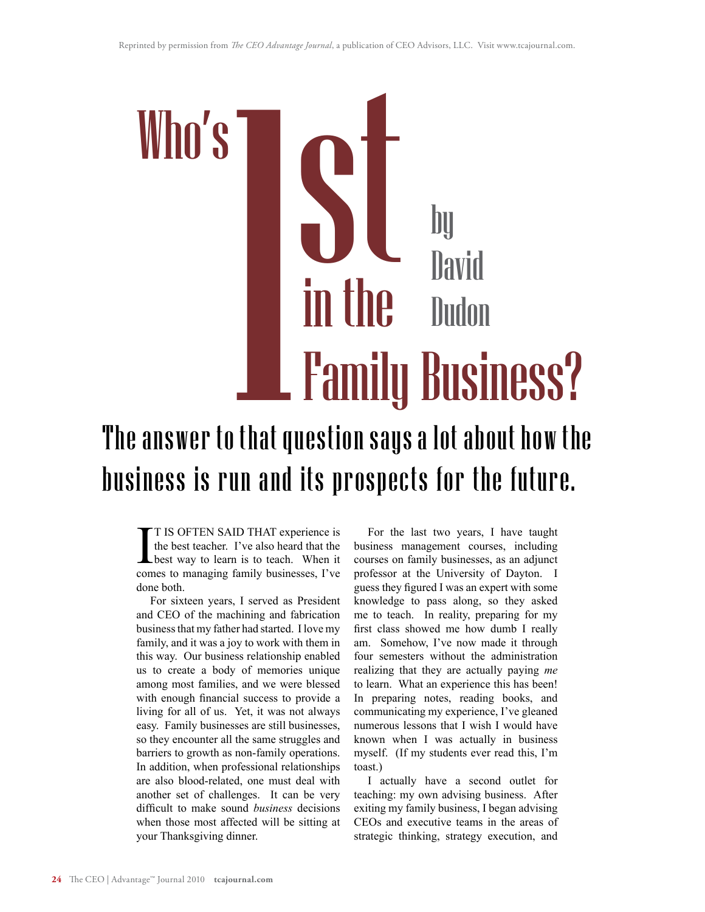

# The answer to that question says a lot about how the business is run and its prospects for the future.

I<sub>com</sub> T IS OFTEN SAID THAT experience is the best teacher. I've also heard that the best way to learn is to teach. When it comes to managing family businesses, I've done both.

For sixteen years, I served as President and CEO of the machining and fabrication business that my father had started. I love my family, and it was a joy to work with them in this way. Our business relationship enabled us to create a body of memories unique among most families, and we were blessed with enough financial success to provide a living for all of us. Yet, it was not always easy. Family businesses are still businesses, so they encounter all the same struggles and barriers to growth as non-family operations. In addition, when professional relationships are also blood-related, one must deal with another set of challenges. It can be very difficult to make sound *business* decisions when those most affected will be sitting at your Thanksgiving dinner.

For the last two years, I have taught business management courses, including courses on family businesses, as an adjunct professor at the University of Dayton. I guess they figured I was an expert with some knowledge to pass along, so they asked me to teach. In reality, preparing for my first class showed me how dumb I really am. Somehow, I've now made it through four semesters without the administration realizing that they are actually paying *me* to learn. What an experience this has been! In preparing notes, reading books, and communicating my experience, I've gleaned numerous lessons that I wish I would have known when I was actually in business myself. (If my students ever read this, I'm toast.)

I actually have a second outlet for teaching: my own advising business. After exiting my family business, I began advising CEOs and executive teams in the areas of strategic thinking, strategy execution, and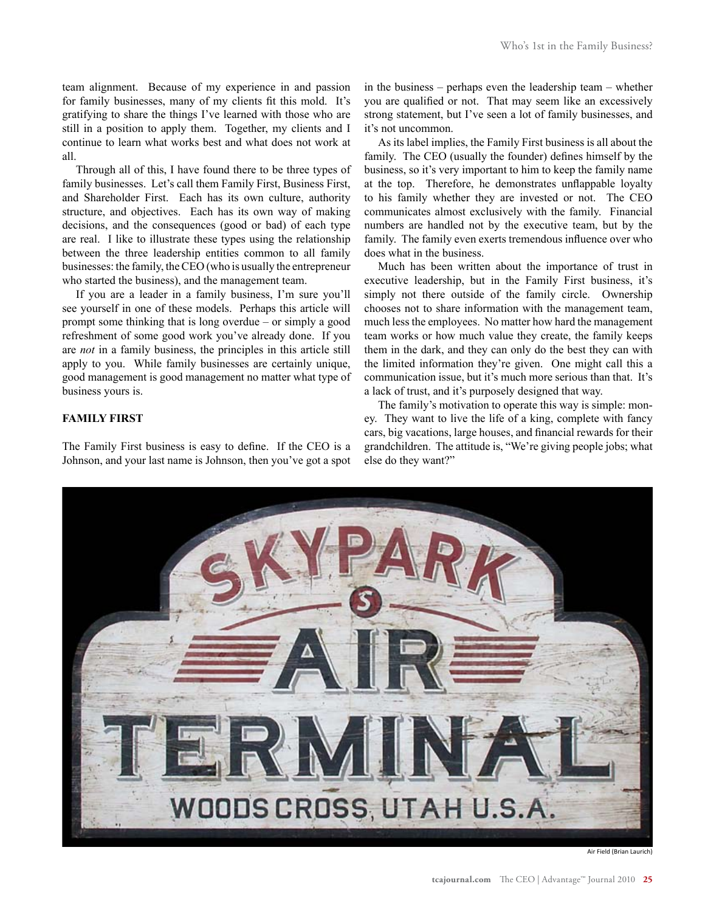team alignment. Because of my experience in and passion for family businesses, many of my clients fit this mold. It's gratifying to share the things I've learned with those who are still in a position to apply them. Together, my clients and I continue to learn what works best and what does not work at all.

Through all of this, I have found there to be three types of family businesses. Let's call them Family First, Business First, and Shareholder First. Each has its own culture, authority structure, and objectives. Each has its own way of making decisions, and the consequences (good or bad) of each type are real. I like to illustrate these types using the relationship between the three leadership entities common to all family businesses: the family, the CEO (who is usually the entrepreneur who started the business), and the management team.

If you are a leader in a family business, I'm sure you'll see yourself in one of these models. Perhaps this article will prompt some thinking that is long overdue – or simply a good refreshment of some good work you've already done. If you are *not* in a family business, the principles in this article still apply to you. While family businesses are certainly unique, good management is good management no matter what type of business yours is.

### **FAMILY FIRST**

The Family First business is easy to define. If the CEO is a Johnson, and your last name is Johnson, then you've got a spot in the business – perhaps even the leadership team – whether you are qualified or not. That may seem like an excessively strong statement, but I've seen a lot of family businesses, and it's not uncommon.

As its label implies, the Family First business is all about the family. The CEO (usually the founder) defines himself by the business, so it's very important to him to keep the family name at the top. Therefore, he demonstrates unflappable loyalty to his family whether they are invested or not. The CEO communicates almost exclusively with the family. Financial numbers are handled not by the executive team, but by the family. The family even exerts tremendous influence over who does what in the business.

Much has been written about the importance of trust in executive leadership, but in the Family First business, it's simply not there outside of the family circle. Ownership chooses not to share information with the management team, much less the employees. No matter how hard the management team works or how much value they create, the family keeps them in the dark, and they can only do the best they can with the limited information they're given. One might call this a communication issue, but it's much more serious than that. It's a lack of trust, and it's purposely designed that way.

The family's motivation to operate this way is simple: money. They want to live the life of a king, complete with fancy cars, big vacations, large houses, and financial rewards for their grandchildren. The attitude is, "We're giving people jobs; what else do they want?"



Air Field (Brian Laurich)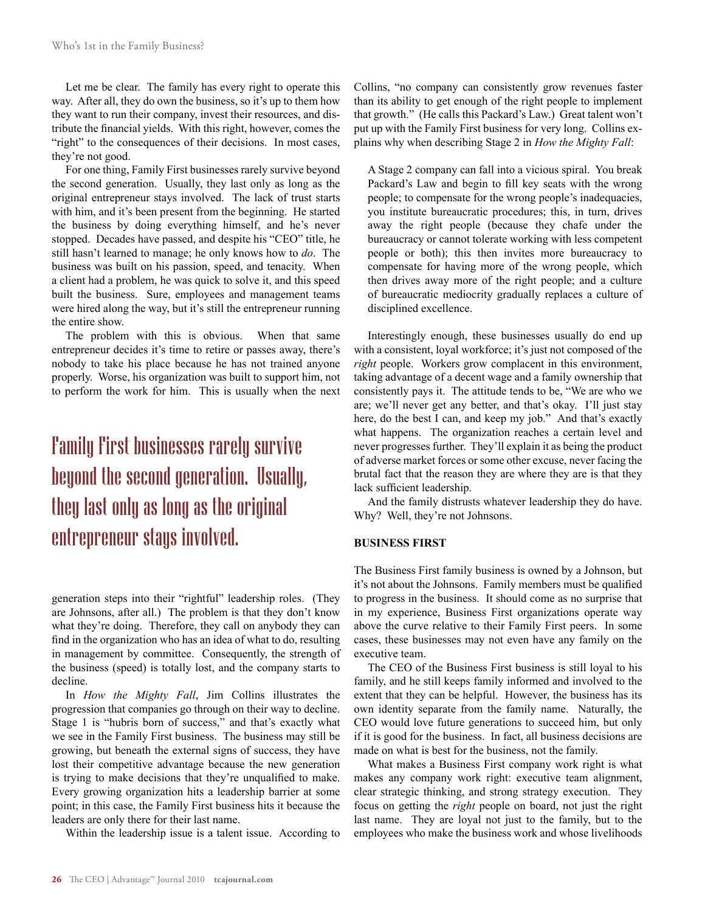Let me be clear. The family has every right to operate this way. After all, they do own the business, so it's up to them how they want to run their company, invest their resources, and distribute the financial yields. With this right, however, comes the "right" to the consequences of their decisions. In most cases, they're not good.

For one thing, Family First businesses rarely survive beyond the second generation. Usually, they last only as long as the original entrepreneur stays involved. The lack of trust starts with him, and it's been present from the beginning. He started the business by doing everything himself, and he's never stopped. Decades have passed, and despite his "CEO" title, he still hasn't learned to manage; he only knows how to *do*. The business was built on his passion, speed, and tenacity. When a client had a problem, he was quick to solve it, and this speed built the business. Sure, employees and management teams were hired along the way, but it's still the entrepreneur running the entire show.

The problem with this is obvious. When that same entrepreneur decides it's time to retire or passes away, there's nobody to take his place because he has not trained anyone properly. Worse, his organization was built to support him, not to perform the work for him. This is usually when the next

# Family First businesses rarely survive beyond the second generation. Usually, they last only as long as the original entrepreneur stays involved.

generation steps into their "rightful" leadership roles. (They are Johnsons, after all.) The problem is that they don't know what they're doing. Therefore, they call on anybody they can find in the organization who has an idea of what to do, resulting in management by committee. Consequently, the strength of the business (speed) is totally lost, and the company starts to decline.

In *How the Mighty Fall*, Jim Collins illustrates the progression that companies go through on their way to decline. Stage 1 is "hubris born of success," and that's exactly what we see in the Family First business. The business may still be growing, but beneath the external signs of success, they have lost their competitive advantage because the new generation is trying to make decisions that they're unqualified to make. Every growing organization hits a leadership barrier at some point; in this case, the Family First business hits it because the leaders are only there for their last name.

Within the leadership issue is a talent issue. According to

Collins, "no company can consistently grow revenues faster than its ability to get enough of the right people to implement that growth." (He calls this Packard's Law.) Great talent won't put up with the Family First business for very long. Collins explains why when describing Stage 2 in *How the Mighty Fall*:

A Stage 2 company can fall into a vicious spiral. You break Packard's Law and begin to fill key seats with the wrong people; to compensate for the wrong people's inadequacies, you institute bureaucratic procedures; this, in turn, drives away the right people (because they chafe under the bureaucracy or cannot tolerate working with less competent people or both); this then invites more bureaucracy to compensate for having more of the wrong people, which then drives away more of the right people; and a culture of bureaucratic mediocrity gradually replaces a culture of disciplined excellence.

Interestingly enough, these businesses usually do end up with a consistent, loyal workforce; it's just not composed of the *right* people. Workers grow complacent in this environment, taking advantage of a decent wage and a family ownership that consistently pays it. The attitude tends to be, "We are who we are; we'll never get any better, and that's okay. I'll just stay here, do the best I can, and keep my job." And that's exactly what happens. The organization reaches a certain level and never progresses further. They'll explain it as being the product of adverse market forces or some other excuse, never facing the brutal fact that the reason they are where they are is that they lack sufficient leadership.

And the family distrusts whatever leadership they do have. Why? Well, they're not Johnsons.

#### **BUSINESS FIRST**

The Business First family business is owned by a Johnson, but it's not about the Johnsons. Family members must be qualified to progress in the business. It should come as no surprise that in my experience, Business First organizations operate way above the curve relative to their Family First peers. In some cases, these businesses may not even have any family on the executive team.

The CEO of the Business First business is still loyal to his family, and he still keeps family informed and involved to the extent that they can be helpful. However, the business has its own identity separate from the family name. Naturally, the CEO would love future generations to succeed him, but only if it is good for the business. In fact, all business decisions are made on what is best for the business, not the family.

What makes a Business First company work right is what makes any company work right: executive team alignment, clear strategic thinking, and strong strategy execution. They focus on getting the *right* people on board, not just the right last name. They are loyal not just to the family, but to the employees who make the business work and whose livelihoods